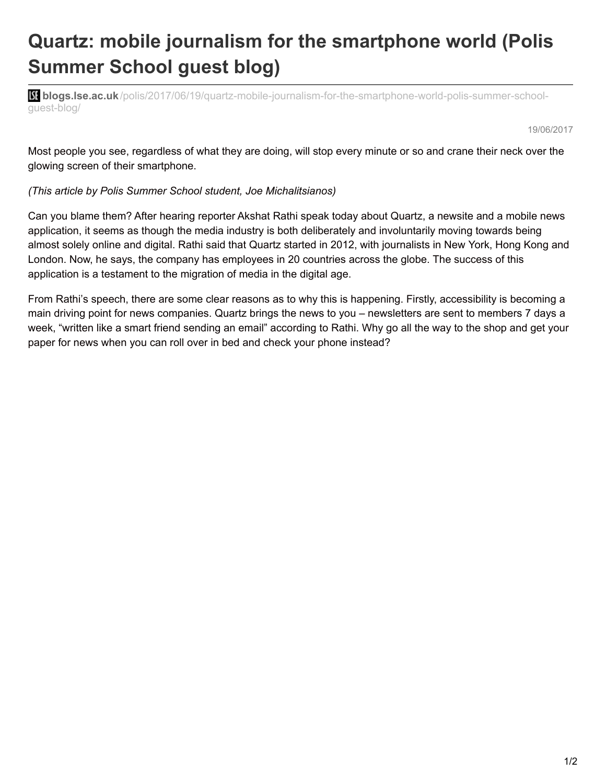## **Quartz: mobile journalism for the smartphone world (Polis Summer School guest blog)**

**bli blogs.lse.ac.uk**[/polis/2017/06/19/quartz-mobile-journalism-for-the-smartphone-world-polis-summer-school](http://blogs.lse.ac.uk/polis/2017/06/19/quartz-mobile-journalism-for-the-smartphone-world-polis-summer-school-guest-blog/)guest-blog/

19/06/2017

Most people you see, regardless of what they are doing, will stop every minute or so and crane their neck over the glowing screen of their smartphone.

## *(This article by Polis Summer School student, Joe Michalitsianos)*

Can you blame them? After hearing reporter Akshat Rathi speak today about Quartz, a newsite and a mobile news application, it seems as though the media industry is both deliberately and involuntarily moving towards being almost solely online and digital. Rathi said that Quartz started in 2012, with journalists in New York, Hong Kong and London. Now, he says, the company has employees in 20 countries across the globe. The success of this application is a testament to the migration of media in the digital age.

From Rathi's speech, there are some clear reasons as to why this is happening. Firstly, accessibility is becoming a main driving point for news companies. Quartz brings the news to you – newsletters are sent to members 7 days a week, "written like a smart friend sending an email" according to Rathi. Why go all the way to the shop and get your paper for news when you can roll over in bed and check your phone instead?